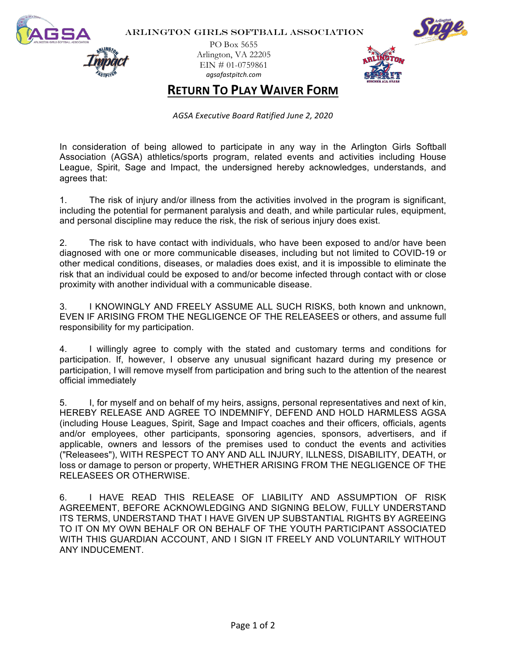

ARLINGTON GIRLS SOFTBALL ASSOCIATION

PO Box 5655 Arlington, VA 22205  $EIN \# 01-0759861$ *agsafastpitch.com*



**RETURN TO PLAY WAIVER FORM** 

*AGSA Executive Board Ratified June 2, 2020*

In consideration of being allowed to participate in any way in the Arlington Girls Softball Association (AGSA) athletics/sports program, related events and activities including House League, Spirit, Sage and Impact, the undersigned hereby acknowledges, understands, and agrees that:

1. The risk of injury and/or illness from the activities involved in the program is significant, including the potential for permanent paralysis and death, and while particular rules, equipment, and personal discipline may reduce the risk, the risk of serious injury does exist.

2. The risk to have contact with individuals, who have been exposed to and/or have been diagnosed with one or more communicable diseases, including but not limited to COVID-19 or other medical conditions, diseases, or maladies does exist, and it is impossible to eliminate the risk that an individual could be exposed to and/or become infected through contact with or close proximity with another individual with a communicable disease.

3. I KNOWINGLY AND FREELY ASSUME ALL SUCH RISKS, both known and unknown, EVEN IF ARISING FROM THE NEGLIGENCE OF THE RELEASEES or others, and assume full responsibility for my participation.

4. I willingly agree to comply with the stated and customary terms and conditions for participation. If, however, I observe any unusual significant hazard during my presence or participation, I will remove myself from participation and bring such to the attention of the nearest official immediately

5. I, for myself and on behalf of my heirs, assigns, personal representatives and next of kin, HEREBY RELEASE AND AGREE TO INDEMNIFY, DEFEND AND HOLD HARMLESS AGSA (including House Leagues, Spirit, Sage and Impact coaches and their officers, officials, agents and/or employees, other participants, sponsoring agencies, sponsors, advertisers, and if applicable, owners and lessors of the premises used to conduct the events and activities ("Releasees"), WITH RESPECT TO ANY AND ALL INJURY, ILLNESS, DISABILITY, DEATH, or loss or damage to person or property, WHETHER ARISING FROM THE NEGLIGENCE OF THE RELEASEES OR OTHERWISE.

6. I HAVE READ THIS RELEASE OF LIABILITY AND ASSUMPTION OF RISK AGREEMENT, BEFORE ACKNOWLEDGING AND SIGNING BELOW, FULLY UNDERSTAND ITS TERMS, UNDERSTAND THAT I HAVE GIVEN UP SUBSTANTIAL RIGHTS BY AGREEING TO IT ON MY OWN BEHALF OR ON BEHALF OF THE YOUTH PARTICIPANT ASSOCIATED WITH THIS GUARDIAN ACCOUNT, AND I SIGN IT FREELY AND VOLUNTARILY WITHOUT ANY INDUCEMENT.